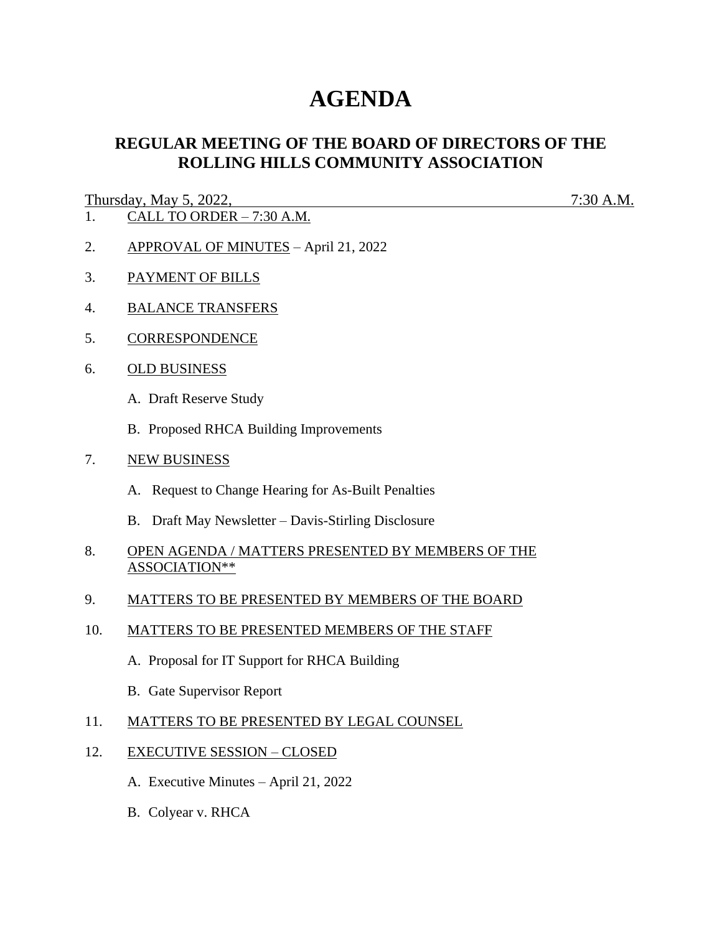## **AGENDA**

## **REGULAR MEETING OF THE BOARD OF DIRECTORS OF THE ROLLING HILLS COMMUNITY ASSOCIATION**

## Thursday, May 5, 2022, 7:30 A.M.

- 1. CALL TO ORDER 7:30 A.M.
- 2. APPROVAL OF MINUTES April 21, 2022
- 3. PAYMENT OF BILLS
- 4. BALANCE TRANSFERS
- 5. CORRESPONDENCE
- 6. OLD BUSINESS
	- A. Draft Reserve Study
	- B. Proposed RHCA Building Improvements
- 7. NEW BUSINESS
	- A. Request to Change Hearing for As-Built Penalties
	- B. Draft May Newsletter Davis-Stirling Disclosure
- 8. OPEN AGENDA / MATTERS PRESENTED BY MEMBERS OF THE ASSOCIATION\*\*
- 9. MATTERS TO BE PRESENTED BY MEMBERS OF THE BOARD
- 10. MATTERS TO BE PRESENTED MEMBERS OF THE STAFF
	- A. Proposal for IT Support for RHCA Building
	- B. Gate Supervisor Report
- 11. MATTERS TO BE PRESENTED BY LEGAL COUNSEL
- 12. EXECUTIVE SESSION CLOSED
	- A. Executive Minutes April 21, 2022
	- B. Colyear v. RHCA